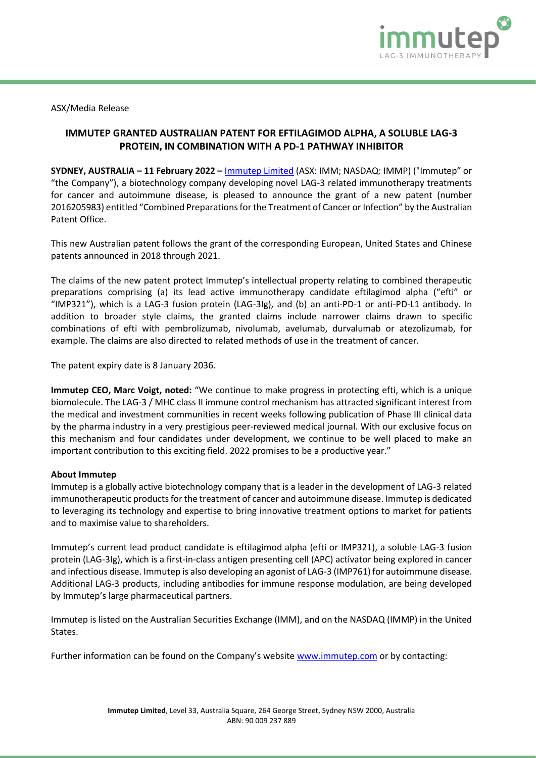

ASX/Media Release

## **IMMUTEP GRANTED AUSTRALIAN PATENT FOR EFTILAGIMOD ALPHA, A SOLUBLE LAG-3 PROTEIN, IN COMBINATION WITH A PD-1 PATHWAY INHIBITOR**

**SYDNEY, AUSTRALIA – 11 February 2022 –** [Immutep Limited](http://www.immutep.com/) (ASX: IMM; NASDAQ: IMMP) ("Immutep" or "the Company"), a biotechnology company developing novel LAG-3 related immunotherapy treatments for cancer and autoimmune disease, is pleased to announce the grant of a new patent (number 2016205983) entitled "Combined Preparations for the Treatment of Cancer or Infection" by the Australian Patent Office.

This new Australian patent follows the grant of the corresponding European, United States and Chinese patents announced in 2018 through 2021.

The claims of the new patent protect Immutep's intellectual property relating to combined therapeutic preparations comprising (a) its lead active immunotherapy candidate eftilagimod alpha ("efti" or "IMP321"), which is a LAG-3 fusion protein (LAG-3Ig), and (b) an anti-PD-1 or anti-PD-L1 antibody. In addition to broader style claims, the granted claims include narrower claims drawn to specific combinations of efti with pembrolizumab, nivolumab, avelumab, durvalumab or atezolizumab, for example. The claims are also directed to related methods of use in the treatment of cancer.

The patent expiry date is 8 January 2036.

**Immutep CEO, Marc Voigt, noted:** "We continue to make progress in protecting efti, which is a unique biomolecule. The LAG-3 / MHC class II immune control mechanism has attracted significant interest from the medical and investment communities in recent weeks following publication of Phase III clinical data by the pharma industry in a very prestigious peer-reviewed medical journal. With our exclusive focus on this mechanism and four candidates under development, we continue to be well placed to make an important contribution to this exciting field. 2022 promises to be a productive year."

## **About Immutep**

Immutep is a globally active biotechnology company that is a leader in the development of LAG-3 related immunotherapeutic products for the treatment of cancer and autoimmune disease. Immutep is dedicated to leveraging its technology and expertise to bring innovative treatment options to market for patients and to maximise value to shareholders.

Immutep's current lead product candidate is eftilagimod alpha (efti or IMP321), a soluble LAG-3 fusion protein (LAG-3Ig), which is a first-in-class antigen presenting cell (APC) activator being explored in cancer and infectious disease. Immutep is also developing an agonist of LAG-3 (IMP761) for autoimmune disease. Additional LAG-3 products, including antibodies for immune response modulation, are being developed by Immutep's large pharmaceutical partners.

Immutep is listed on the Australian Securities Exchange (IMM), and on the NASDAQ (IMMP) in the United States.

Further information can be found on the Company's website [www.immutep.com](about:blank) or by contacting: